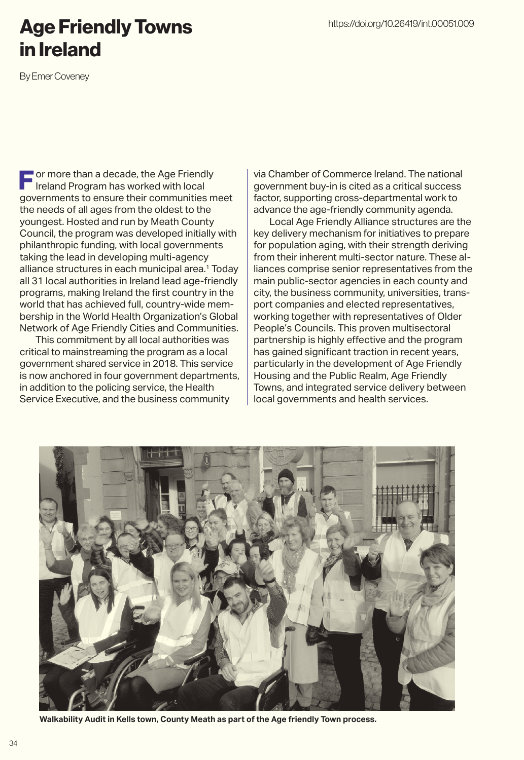## Age Friendly Towns in Ireland

By Emer Coveney

 $\blacksquare$  or more than a decade, the Age Friendly Ireland Program has worked with local governments to ensure their communities meet the needs of all ages from the oldest to the youngest. Hosted and run by Meath County Council, the program was developed initially with philanthropic funding, with local governments taking the lead in developing multi-agency alliance structures in each municipal area.<sup>1</sup> Today all 31 local authorities in Ireland lead age-friendly programs, making Ireland the first country in the world that has achieved full, country-wide membership in the World Health Organization's Global Network of Age Friendly Cities and Communities.

This commitment by all local authorities was critical to mainstreaming the program as a local government shared service in 2018. This service is now anchored in four government departments, in addition to the policing service, the Health Service Executive, and the business community

via Chamber of Commerce Ireland. The national government buy-in is cited as a critical success factor, supporting cross-departmental work to advance the age-friendly community agenda.

Local Age Friendly Alliance structures are the key delivery mechanism for initiatives to prepare for population aging, with their strength deriving from their inherent multi-sector nature. These alliances comprise senior representatives from the main public-sector agencies in each county and city, the business community, universities, transport companies and elected representatives, working together with representatives of Older People's Councils. This proven multisectoral partnership is highly effective and the program has gained significant traction in recent years, particularly in the development of Age Friendly Housing and the Public Realm, Age Friendly Towns, and integrated service delivery between local governments and health services.



**Walkability Audit in Kells town, County Meath as part of the Age friendly Town process.**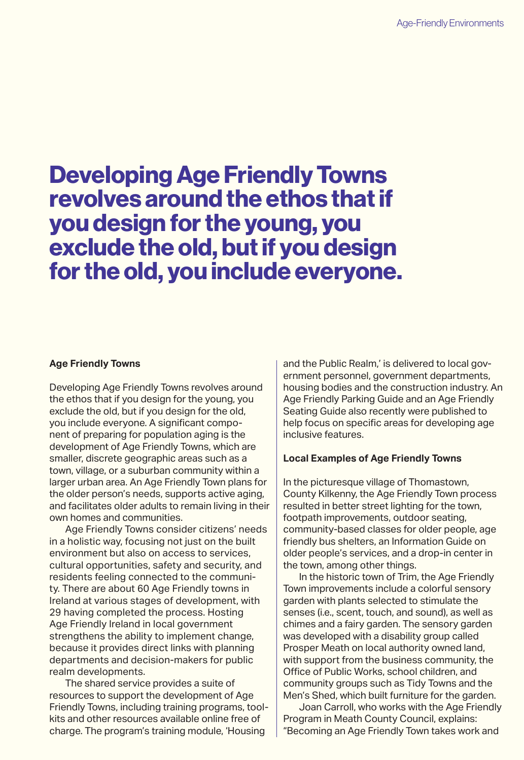# Developing Age Friendly Towns revolves around the ethos that if you design for the young, you exclude the old, but if you design for the old, you include everyone.

#### **Age Friendly Towns**

Developing Age Friendly Towns revolves around the ethos that if you design for the young, you exclude the old, but if you design for the old, you include everyone. A significant component of preparing for population aging is the development of Age Friendly Towns, which are smaller, discrete geographic areas such as a town, village, or a suburban community within a larger urban area. An Age Friendly Town plans for the older person's needs, supports active aging, and facilitates older adults to remain living in their own homes and communities.

Age Friendly Towns consider citizens' needs in a holistic way, focusing not just on the built environment but also on access to services, cultural opportunities, safety and security, and residents feeling connected to the community. There are about 60 Age Friendly towns in Ireland at various stages of development, with 29 having completed the process. Hosting Age Friendly Ireland in local government strengthens the ability to implement change, because it provides direct links with planning departments and decision-makers for public realm developments.

The shared service provides a suite of resources to support the development of Age Friendly Towns, including training programs, toolkits and other resources available online free of charge. The program's training module, 'Housing

and the Public Realm,' is delivered to local government personnel, government departments, housing bodies and the construction industry. An Age Friendly Parking Guide and an Age Friendly Seating Guide also recently were published to help focus on specific areas for developing age inclusive features.

#### **Local Examples of Age Friendly Towns**

In the picturesque village of Thomastown, County Kilkenny, the Age Friendly Town process resulted in better street lighting for the town, footpath improvements, outdoor seating, community-based classes for older people, age friendly bus shelters, an Information Guide on older people's services, and a drop-in center in the town, among other things.

In the historic town of Trim, the Age Friendly Town improvements include a colorful sensory garden with plants selected to stimulate the senses (i.e., scent, touch, and sound), as well as chimes and a fairy garden. The sensory garden was developed with a disability group called Prosper Meath on local authority owned land, with support from the business community, the Office of Public Works, school children, and community groups such as Tidy Towns and the Men's Shed, which built furniture for the garden.

Joan Carroll, who works with the Age Friendly Program in Meath County Council, explains: "Becoming an Age Friendly Town takes work and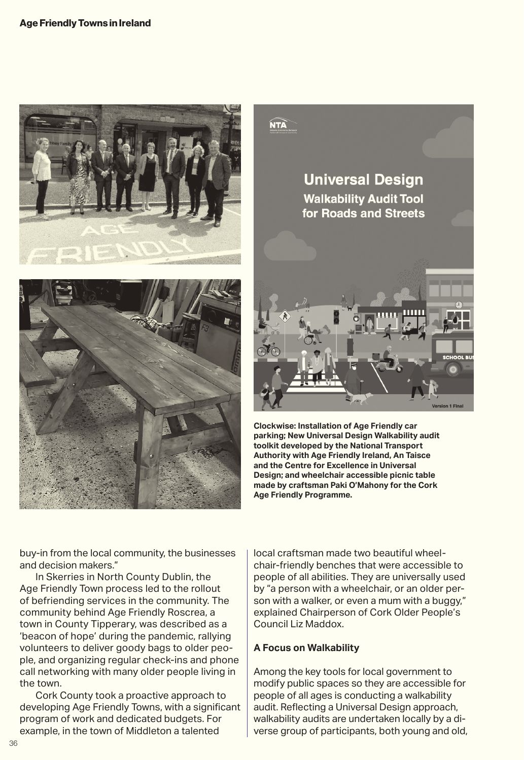





**Clockwise: Installation of Age Friendly car parking; New Universal Design Walkability audit toolkit developed by the National Transport Authority with Age Friendly Ireland, An Taisce and the Centre for Excellence in Universal Design; and wheelchair accessible picnic table made by craftsman Paki O'Mahony for the Cork Age Friendly Programme.**

buy-in from the local community, the businesses and decision makers."

In Skerries in North County Dublin, the Age Friendly Town process led to the rollout of befriending services in the community. The community behind Age Friendly Roscrea, a town in County Tipperary, was described as a 'beacon of hope' during the pandemic, rallying volunteers to deliver goody bags to older people, and organizing regular check-ins and phone call networking with many older people living in the town.

Cork County took a proactive approach to developing Age Friendly Towns, with a significant program of work and dedicated budgets. For example, in the town of Middleton a talented

local craftsman made two beautiful wheelchair-friendly benches that were accessible to people of all abilities. They are universally used by "a person with a wheelchair, or an older person with a walker, or even a mum with a buggy," explained Chairperson of Cork Older People's Council Liz Maddox.

#### **A Focus on Walkability**

Among the key tools for local government to modify public spaces so they are accessible for people of all ages is conducting a walkability audit. Reflecting a Universal Design approach, walkability audits are undertaken locally by a diverse group of participants, both young and old,